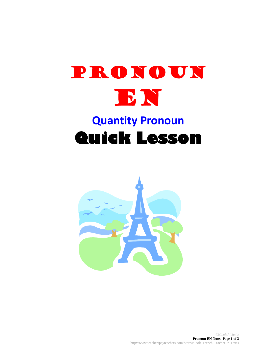

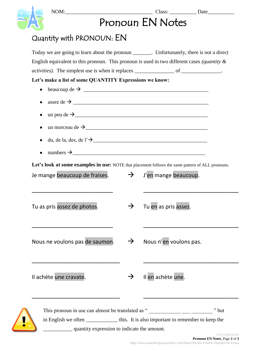|                                                                                                                                                                                                                                                                                                |               | Pronoun EN Notes                                           |
|------------------------------------------------------------------------------------------------------------------------------------------------------------------------------------------------------------------------------------------------------------------------------------------------|---------------|------------------------------------------------------------|
| Quantity with PRONOUN: EN                                                                                                                                                                                                                                                                      |               |                                                            |
| Today we are going to learn about the pronoun _______. Unfortunately, there is not a direct<br>English equivalent to this pronoun. This pronoun is used in two different cases (quantity $\&$<br><i>activities</i> ). The simplest use is when it replaces ________________ of ______________. |               |                                                            |
| Let's make a list of some QUANTITY Expressions we know:                                                                                                                                                                                                                                        |               |                                                            |
| beaucoup de $\rightarrow$<br>$\bullet$                                                                                                                                                                                                                                                         |               |                                                            |
| assez de $\rightarrow$                                                                                                                                                                                                                                                                         |               |                                                            |
|                                                                                                                                                                                                                                                                                                |               |                                                            |
| un morceau de $\rightarrow$                                                                                                                                                                                                                                                                    |               |                                                            |
| du, de la, des, de l' $\rightarrow$                                                                                                                                                                                                                                                            |               |                                                            |
|                                                                                                                                                                                                                                                                                                |               |                                                            |
| Je mange beaucoup de fraises.                                                                                                                                                                                                                                                                  | $\rightarrow$ | J'en mange beaucoup.                                       |
| Tu as pris assez de photos.                                                                                                                                                                                                                                                                    |               | Tu en as pris assez.                                       |
| Nous ne voulons pas de saumon.                                                                                                                                                                                                                                                                 |               | Nous n'en voulons pas.                                     |
| Il achète une cravate.                                                                                                                                                                                                                                                                         |               | Il en achète une.                                          |
|                                                                                                                                                                                                                                                                                                |               | This pronoun in use can almost be translated as "<br>" but |